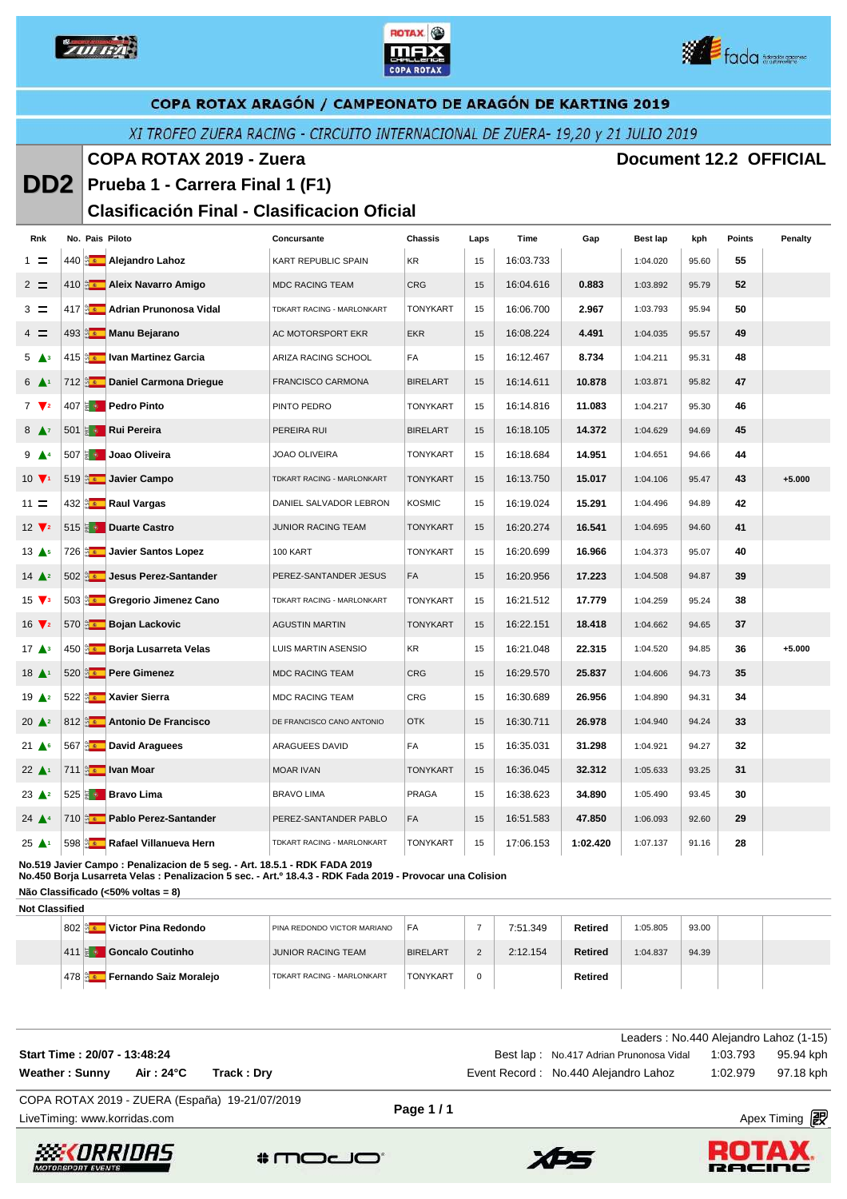

**DD2**





# COPA ROTAX ARAGÓN / CAMPEONATO DE ARAGÓN DE KARTING 2019

## XI TROFEO ZUERA RACING - CIRCUITO INTERNACIONAL DE ZUERA- 19,20 y 21 JULIO 2019

#### **COPA ROTAX 2019 - Zuera Document 12.2 OFFICIAL**

# **Prueba 1 - Carrera Final 1 (F1)**

#### **Clasificación Final - Clasificacion Oficial**

| Rnk                              |  | No. Pais Piloto                                | Concursante                | <b>Chassis</b>  | Laps | Time      | Gap      | <b>Best lap</b> | kph   | <b>Points</b> | Penalty  |
|----------------------------------|--|------------------------------------------------|----------------------------|-----------------|------|-----------|----------|-----------------|-------|---------------|----------|
| $1 =$                            |  | 440 <b>Alejandro Lahoz</b>                     | KART REPUBLIC SPAIN        | KR              | 15   | 16:03.733 |          | 1:04.020        | 95.60 | 55            |          |
| $2 =$                            |  | 410 <b>Aleix Navarro Amigo</b>                 | <b>MDC RACING TEAM</b>     | <b>CRG</b>      | 15   | 16:04.616 | 0.883    | 1:03.892        | 95.79 | 52            |          |
| $3 =$                            |  | 417 a Adrian Prunonosa Vidal                   | TDKART RACING - MARLONKART | <b>TONYKART</b> | 15   | 16:06.700 | 2.967    | 1:03.793        | 95.94 | 50            |          |
| $4 =$                            |  | 493 <b>Manu Bejarano</b>                       | AC MOTORSPORT EKR          | <b>EKR</b>      | 15   | 16:08.224 | 4.491    | 1:04.035        | 95.57 | 49            |          |
| 5 <sup>43</sup>                  |  | 415 <b>Aug 19</b> Ivan Martinez Garcia         | ARIZA RACING SCHOOL        | <b>FA</b>       | 15   | 16:12.467 | 8.734    | 1:04.211        | 95.31 | 48            |          |
| $6 \triangle$                    |  | 712 <b>2</b> Daniel Carmona Driegue            | <b>FRANCISCO CARMONA</b>   | <b>BIRELART</b> | 15   | 16:14.611 | 10.878   | 1:03.871        | 95.82 | 47            |          |
| $7 \sqrt{2}$                     |  | 407 <b>B Pedro Pinto</b>                       | PINTO PEDRO                | <b>TONYKART</b> | 15   | 16:14.816 | 11.083   | 1:04.217        | 95.30 | 46            |          |
| 8 <sup>7</sup>                   |  | 501 <b>a</b> Rui Pereira                       | PEREIRA RUI                | <b>BIRELART</b> | 15   | 16:18.105 | 14.372   | 1:04.629        | 94.69 | 45            |          |
| $9 \triangle 4$                  |  | 507 a Joao Oliveira                            | <b>JOAO OLIVEIRA</b>       | <b>TONYKART</b> | 15   | 16:18.684 | 14.951   | 1:04.651        | 94.66 | 44            |          |
| $10 \sqrt{1}$                    |  | 519 <b>Javier Campo</b>                        | TDKART RACING - MARLONKART | <b>TONYKART</b> | 15   | 16:13.750 | 15.017   | 1:04.106        | 95.47 | 43            | $+5.000$ |
| $11 =$                           |  | 432 <b>Max</b> Raul Vargas                     | DANIEL SALVADOR LEBRON     | <b>KOSMIC</b>   | 15   | 16:19.024 | 15.291   | 1:04.496        | 94.89 | 42            |          |
| $12 \sqrt{2}$                    |  | 515 <b>&amp; Duarte Castro</b>                 | JUNIOR RACING TEAM         | <b>TONYKART</b> | 15   | 16:20.274 | 16.541   | 1:04.695        | 94.60 | 41            |          |
| $13 \triangle 5$                 |  | 726 <b>Aziat</b> Javier Santos Lopez           | 100 KART                   | <b>TONYKART</b> | 15   | 16:20.699 | 16.966   | 1:04.373        | 95.07 | 40            |          |
| $14 \triangle 2$                 |  | 502 Jesus Perez-Santander                      | PEREZ-SANTANDER JESUS      | FA              | 15   | 16:20.956 | 17.223   | 1:04.508        | 94.87 | 39            |          |
| $15 \sqrt{3}$                    |  | 503 <b>Brand Gregorio Jimenez Cano</b>         | TDKART RACING - MARLONKART | <b>TONYKART</b> | 15   | 16:21.512 | 17.779   | 1:04.259        | 95.24 | 38            |          |
| $16 \sqrt{2}$                    |  | 570 a. Bojan Lackovic                          | <b>AGUSTIN MARTIN</b>      | <b>TONYKART</b> | 15   | 16:22.151 | 18.418   | 1:04.662        | 94.65 | 37            |          |
| 17 <sup>43</sup>                 |  | 450 <b>Borja Lusarreta Velas</b>               | LUIS MARTIN ASENSIO        | KR              | 15   | 16:21.048 | 22.315   | 1:04.520        | 94.85 | 36            | $+5.000$ |
| $18$ $\triangle$ <sup>1</sup>    |  | 520 <b>Az Pere Gimenez</b>                     | <b>MDC RACING TEAM</b>     | <b>CRG</b>      | 15   | 16:29.570 | 25.837   | 1:04.606        | 94.73 | 35            |          |
| 19 <sup>2</sup>                  |  | 522 <b>Az Xavier Sierra</b>                    | <b>MDC RACING TEAM</b>     | <b>CRG</b>      | 15   | 16:30.689 | 26.956   | 1:04.890        | 94.31 | 34            |          |
| $20 \triangle 2$                 |  | 812 <b>Antonio De Francisco</b>                | DE FRANCISCO CANO ANTONIO  | <b>OTK</b>      | 15   | 16:30.711 | 26.978   | 1:04.940        | 94.24 | 33            |          |
| $21 \triangle$                   |  | 567 <b>Bullet</b> David Araguees               | ARAGUEES DAVID             | FA              | 15   | 16:35.031 | 31.298   | 1:04.921        | 94.27 | 32            |          |
| $22 \triangle 1$                 |  | 711 a van Moar                                 | <b>MOAR IVAN</b>           | <b>TONYKART</b> | 15   | 16:36.045 | 32.312   | 1:05.633        | 93.25 | 31            |          |
| $23 \triangle 2$                 |  | 525 $\frac{1}{2}$ Bravo Lima                   | <b>BRAVO LIMA</b>          | <b>PRAGA</b>    | 15   | 16:38.623 | 34.890   | 1:05.490        | 93.45 | 30            |          |
| $24$ $\triangle$                 |  | 710 <b>Pablo Perez-Santander</b>               | PEREZ-SANTANDER PABLO      | FA              | 15   | 16:51.583 | 47.850   | 1:06.093        | 92.60 | 29            |          |
| $25 \blacktriangle$ <sup>1</sup> |  | 598 <b>Example 2016</b> Rafael Villanueva Hern | TDKART RACING - MARLONKART | <b>TONYKART</b> | 15   | 17:06.153 | 1:02.420 | 1:07.137        | 91.16 | 28            |          |

**No.519 Javier Campo : Penalizacion de 5 seg. - Art. 18.5.1 - RDK FADA 2019**

**No.450 Borja Lusarreta Velas : Penalizacion 5 sec. - Art.º 18.4.3 - RDK Fada 2019 - Provocar una Colision Não Classificado (<50% voltas = 8)**

**Not Classified**

| ,,,,,,,,  |    |                        |                             |                 |   |          |                |          |       |  |
|-----------|----|------------------------|-----------------------------|-----------------|---|----------|----------------|----------|-------|--|
| $802$ and |    | Victor Pina Redondo    | PINA REDONDO VICTOR MARIANO | FA              |   | 7:51.349 | Retired        | 1:05.805 | 93.00 |  |
| 411       | IЯ | Goncalo Coutinho       | <b>JUNIOR RACING TEAM</b>   | <b>BIRELART</b> |   | 2:12.154 | <b>Retired</b> | 1:04.837 | 94.39 |  |
| 478       |    | Fernando Saiz Moraleio | TDKART RACING - MARLONKART  | <b>TONYKART</b> | 0 |          | Retired        |          |       |  |

|                              |          |             | Leaders: No.440 Alejandro Lahoz (1-15)                     |                    |
|------------------------------|----------|-------------|------------------------------------------------------------|--------------------|
| Start Time: 20/07 - 13:48:24 |          |             | Best lap: No.417 Adrian Prunonosa Vidal 1:03.793 95.94 kph |                    |
| Weather: Sunny               | Air:24°C | Track : Drv | Event Record: No.440 Alejandro Lahoz                       | 1:02.979 97.18 kph |
|                              |          | .           |                                                            |                    |

LiveTiming: www.korridas.com Apex Timing COPA ROTAX 2019 - ZUERA (España) 19-21/07/2019

**Page 1 / 1**







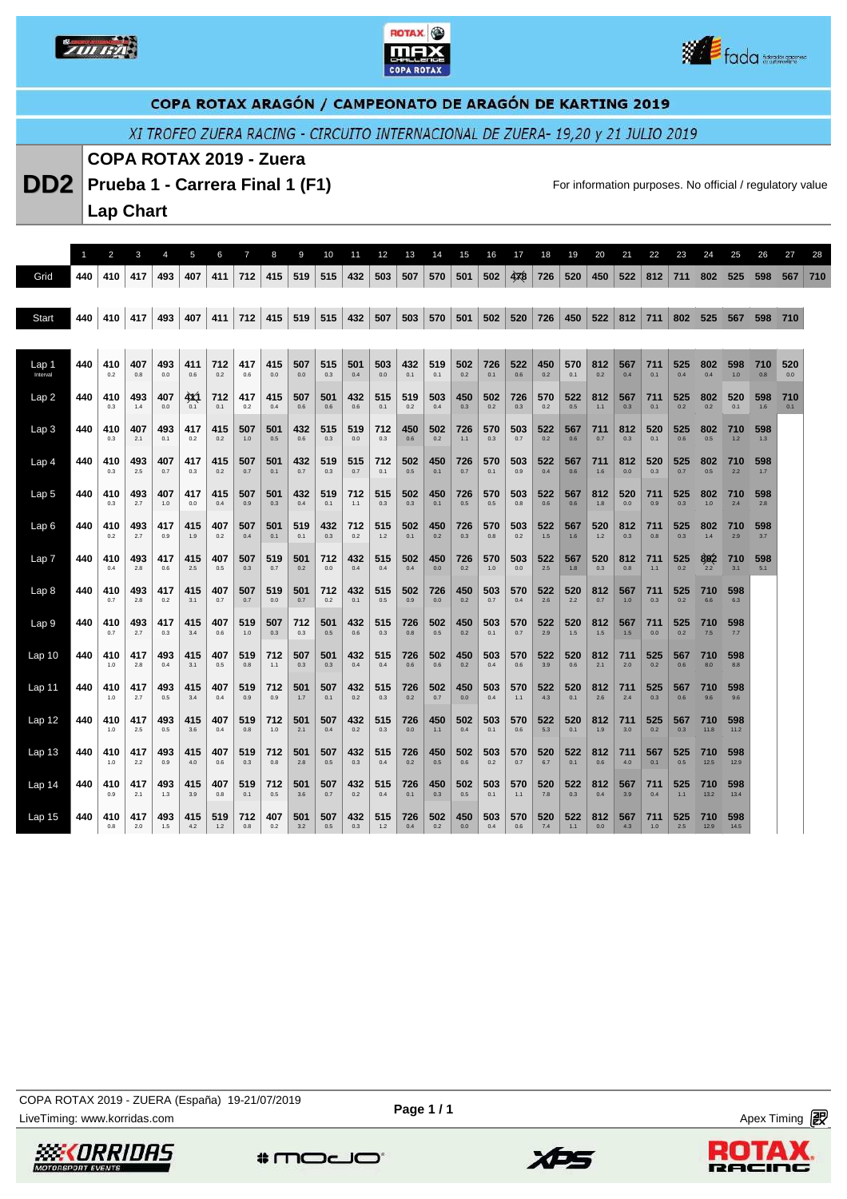





XI TROFEO ZUERA RACING - CIRCUITO INTERNACIONAL DE ZUERA- 19,20 y 21 JULIO 2019

#### **COPA ROTAX 2019 - Zuera**

**DD2** Prueba 1 - Carrera Final 1 (F1) **For information purposes. No official / regulatory value** 

**Lap Chart** 

|                   |     | 2          | 3          | 4          | 5          | 6          | $\overline{7}$ | 8          | 9          | 10         | 11         | 12           | 13         | 14         | 15         | 16         | 17         | 18         | 19         | 20           | 21         | 22           | 23         | 24          | 25          | 26         | 27         | 28  |
|-------------------|-----|------------|------------|------------|------------|------------|----------------|------------|------------|------------|------------|--------------|------------|------------|------------|------------|------------|------------|------------|--------------|------------|--------------|------------|-------------|-------------|------------|------------|-----|
| Grid              | 440 | 410        | 417        | 493        | 407        | 411        | 712            | 415        | 519        | 515        | 432        | 503          | 507        | 570        | 501        | 502        | 478        | 726        | 520        | 450          | 522        | 812          | 711        | 802         | 525         | 598        | 567        | 710 |
|                   |     |            |            |            |            |            |                |            |            |            |            |              |            |            |            |            |            |            |            |              |            |              |            |             |             |            |            |     |
| Start             | 440 | 410        | 417        | 493        | 407        | 411        | 712            | 415        | 519        | 515        | 432        | 507          | 503        | 570        | 501        | 502        | 520        | 726        | 450        | 522          | 812        | 711          | 802        | 525         | 567         | 598        | 710        |     |
|                   |     |            |            |            |            |            |                |            |            |            |            |              |            |            |            |            |            |            |            |              |            |              |            |             |             |            |            |     |
| Lap 1<br>Interval | 440 | 410<br>0.2 | 407<br>0.8 | 493<br>0.0 | 411<br>0.6 | 712<br>0.2 | 417<br>0.6     | 415<br>0.0 | 507<br>0.0 | 515<br>0.3 | 501<br>0.4 | 503<br>0.0   | 432<br>0.1 | 519<br>0.1 | 502<br>0.2 | 726<br>0.1 | 522<br>0.6 | 450<br>0.2 | 570<br>0.1 | 812<br>0.2   | 567<br>0.4 | 711<br>0.1   | 525<br>0.4 | 802<br>0.4  | 598<br>1.0  | 710<br>0.8 | 520<br>0.0 |     |
| Lap2              | 440 | 410<br>0.3 | 493<br>1.4 | 407<br>0.0 | 4X1<br>0.1 | 712<br>0.1 | 417<br>0.2     | 415<br>0.4 | 507<br>0.6 | 501<br>0.6 | 432<br>0.6 | 515<br>0.1   | 519<br>0.2 | 503<br>0.4 | 450<br>0.3 | 502<br>0.2 | 726<br>0.3 | 570<br>0.2 | 522<br>0.5 | 812<br>$1.1$ | 567<br>0.3 | 711<br>0.1   | 525<br>0.2 | 802<br>0.2  | 520<br>0.1  | 598<br>1.6 | 710<br>0.1 |     |
| Lap <sub>3</sub>  | 440 | 410<br>0.3 | 407<br>2.1 | 493<br>0.1 | 417<br>0.2 | 415<br>0.2 | 507<br>1.0     | 501<br>0.5 | 432<br>0.6 | 515<br>0.3 | 519<br>0.0 | 712<br>0.3   | 450<br>0.6 | 502<br>0.2 | 726<br>1.1 | 570<br>0.3 | 503<br>0.7 | 522<br>0.2 | 567<br>0.6 | 711<br>0.7   | 812<br>0.3 | 520<br>0.1   | 525<br>0.6 | 802<br>0.5  | 710<br>1.2  | 598<br>1.3 |            |     |
| Lap <sub>4</sub>  | 440 | 410<br>0.3 | 493<br>2.5 | 407<br>0.7 | 417<br>0.3 | 415<br>0.2 | 507<br>0.7     | 501<br>0.1 | 432<br>0.7 | 519<br>0.3 | 515<br>0.7 | 712<br>0.1   | 502<br>0.5 | 450<br>0.1 | 726<br>0.7 | 570<br>0.1 | 503<br>0.9 | 522<br>0.4 | 567<br>0.6 | 711<br>1.6   | 812<br>0.0 | 520<br>0.3   | 525<br>0.7 | 802<br>0.5  | 710<br>2.2  | 598<br>1.7 |            |     |
| Lap <sub>5</sub>  | 440 | 410<br>0.3 | 493<br>2.7 | 407<br>1.0 | 417<br>0.0 | 415<br>0.4 | 507<br>0.9     | 501<br>0.3 | 432<br>0.4 | 519<br>0.1 | 712<br>1.1 | 515<br>0.3   | 502<br>0.3 | 450<br>0.1 | 726<br>0.5 | 570<br>0.5 | 503<br>0.8 | 522<br>0.6 | 567<br>0.6 | 812<br>1.8   | 520<br>0.0 | 711<br>0.9   | 525<br>0.3 | 802<br>1.0  | 710<br>2.4  | 598<br>2.8 |            |     |
| Lap6              | 440 | 410<br>0.2 | 493<br>2.7 | 417<br>0.9 | 415<br>1.9 | 407<br>0.2 | 507<br>0.4     | 501<br>0.1 | 519<br>0.1 | 432<br>0.3 | 712<br>0.2 | 515<br>$1.2$ | 502<br>0.1 | 450<br>0.2 | 726<br>0.3 | 570<br>0.8 | 503<br>0.2 | 522<br>1.5 | 567<br>1.6 | 520<br>$1.2$ | 812<br>0.3 | 711<br>0.8   | 525<br>0.3 | 802<br>1.4  | 710<br>2.9  | 598<br>3.7 |            |     |
| Lap <sub>7</sub>  | 440 | 410<br>0.4 | 493<br>2.8 | 417<br>0.6 | 415<br>2.5 | 407<br>0.5 | 507<br>0.3     | 519<br>0.7 | 501<br>0.2 | 712<br>0.0 | 432<br>0.4 | 515<br>0.4   | 502<br>0.4 | 450<br>0.0 | 726<br>0.2 | 570<br>1.0 | 503<br>0.0 | 522<br>2.5 | 567<br>1.8 | 520<br>0.3   | 812<br>0.8 | 711<br>$1.1$ | 525<br>0.2 | 802<br>2.2  | 710<br>3.1  | 598<br>5.1 |            |     |
| Lap <sub>8</sub>  | 440 | 410<br>0.7 | 493<br>2.8 | 417<br>0.2 | 415<br>3.1 | 407<br>0.7 | 507<br>0.7     | 519<br>0.0 | 501<br>0.7 | 712<br>0.2 | 432<br>0.1 | 515<br>0.5   | 502<br>0.9 | 726<br>0.0 | 450<br>0.2 | 503<br>0.7 | 570<br>0.4 | 522<br>2.6 | 520<br>2.2 | 812<br>0.7   | 567<br>1.0 | 711<br>0.3   | 525<br>0.2 | 710<br>6.6  | 598<br>6.3  |            |            |     |
| Lap <sub>9</sub>  | 440 | 410<br>0.7 | 493<br>2.7 | 417<br>0.3 | 415<br>3.4 | 407<br>0.6 | 519<br>1.0     | 507<br>0.3 | 712<br>0.3 | 501<br>0.5 | 432<br>0.6 | 515<br>0.3   | 726<br>0.8 | 502<br>0.5 | 450<br>0.2 | 503<br>0.1 | 570<br>0.7 | 522<br>2.9 | 520<br>1.5 | 812<br>1.5   | 567<br>1.5 | 711<br>0.0   | 525<br>0.2 | 710<br>7.5  | 598<br>7.7  |            |            |     |
| Lap <sub>10</sub> | 440 | 410<br>1.0 | 417<br>2.8 | 493<br>0.4 | 415<br>3.1 | 407<br>0.5 | 519<br>0.8     | 712<br>1.1 | 507<br>0.3 | 501<br>0.3 | 432<br>0.4 | 515<br>0.4   | 726<br>0.6 | 502<br>0.6 | 450<br>0.2 | 503<br>0.4 | 570<br>0.6 | 522<br>3.9 | 520<br>0.6 | 812<br>2.1   | 711<br>2.0 | 525<br>0.2   | 567<br>0.6 | 710<br>8.0  | 598<br>8.8  |            |            |     |
| Lap <sub>11</sub> | 440 | 410<br>1.0 | 417<br>2.7 | 493<br>0.5 | 415<br>3.4 | 407<br>0.4 | 519<br>0.9     | 712<br>0.9 | 501<br>1.7 | 507<br>0.1 | 432<br>0.2 | 515<br>0.3   | 726<br>0.2 | 502<br>0.7 | 450<br>0.0 | 503<br>0.4 | 570<br>1.1 | 522<br>4.3 | 520<br>0.1 | 812<br>2.6   | 711<br>2.4 | 525<br>0.3   | 567<br>0.6 | 710<br>9.6  | 598<br>9.6  |            |            |     |
| Lap 12            | 440 | 410<br>1.0 | 417<br>2.5 | 493<br>0.5 | 415<br>3.6 | 407<br>0.4 | 519<br>0.8     | 712<br>1.0 | 501<br>2.1 | 507<br>0.4 | 432<br>0.2 | 515<br>0.3   | 726<br>0.0 | 450<br>1.1 | 502<br>0.4 | 503<br>0.1 | 570<br>0.6 | 522<br>5.3 | 520<br>0.1 | 812<br>1.9   | 711<br>3.0 | 525<br>0.2   | 567<br>0.3 | 710<br>11.8 | 598<br>11.2 |            |            |     |
| Lap <sub>13</sub> | 440 | 410<br>1.0 | 417<br>2.2 | 493<br>0.9 | 415<br>4.0 | 407<br>0.6 | 519<br>0.3     | 712<br>0.8 | 501<br>2.8 | 507<br>0.5 | 432<br>0.3 | 515<br>0.4   | 726<br>0.2 | 450<br>0.5 | 502<br>0.6 | 503<br>0.2 | 570<br>0.7 | 520<br>6.7 | 522<br>0.1 | 812<br>0.6   | 711<br>4.0 | 567<br>0.1   | 525<br>0.5 | 710<br>12.5 | 598<br>12.9 |            |            |     |
| Lap 14            | 440 | 410<br>0.9 | 417<br>2.1 | 493<br>1.3 | 415<br>3.9 | 407<br>0.8 | 519<br>0.1     | 712<br>0.5 | 501<br>3.6 | 507<br>0.7 | 432<br>0.2 | 515<br>0.4   | 726<br>0.1 | 450<br>0.3 | 502<br>0.5 | 503<br>0.1 | 570<br>1.1 | 520<br>7.8 | 522<br>0.3 | 812<br>0.4   | 567<br>3.9 | 711<br>0.4   | 525<br>1.1 | 710<br>13.2 | 598<br>13.4 |            |            |     |
| Lap <sub>15</sub> | 440 | 410<br>0.8 | 417<br>2.0 | 493<br>1.5 | 415<br>4.2 | 519<br>1.2 | 712<br>0.8     | 407<br>0.2 | 501<br>3.2 | 507<br>0.5 | 432<br>0.3 | 515<br>1.2   | 726<br>0.4 | 502<br>0.2 | 450<br>0.0 | 503<br>0.4 | 570<br>0.6 | 520<br>7.4 | 522<br>1.1 | 812<br>0.0   | 567<br>4.3 | 711<br>1.0   | 525<br>2.5 | 710<br>12.9 | 598<br>14.5 |            |            |     |

*SSEKORRIDAS* 





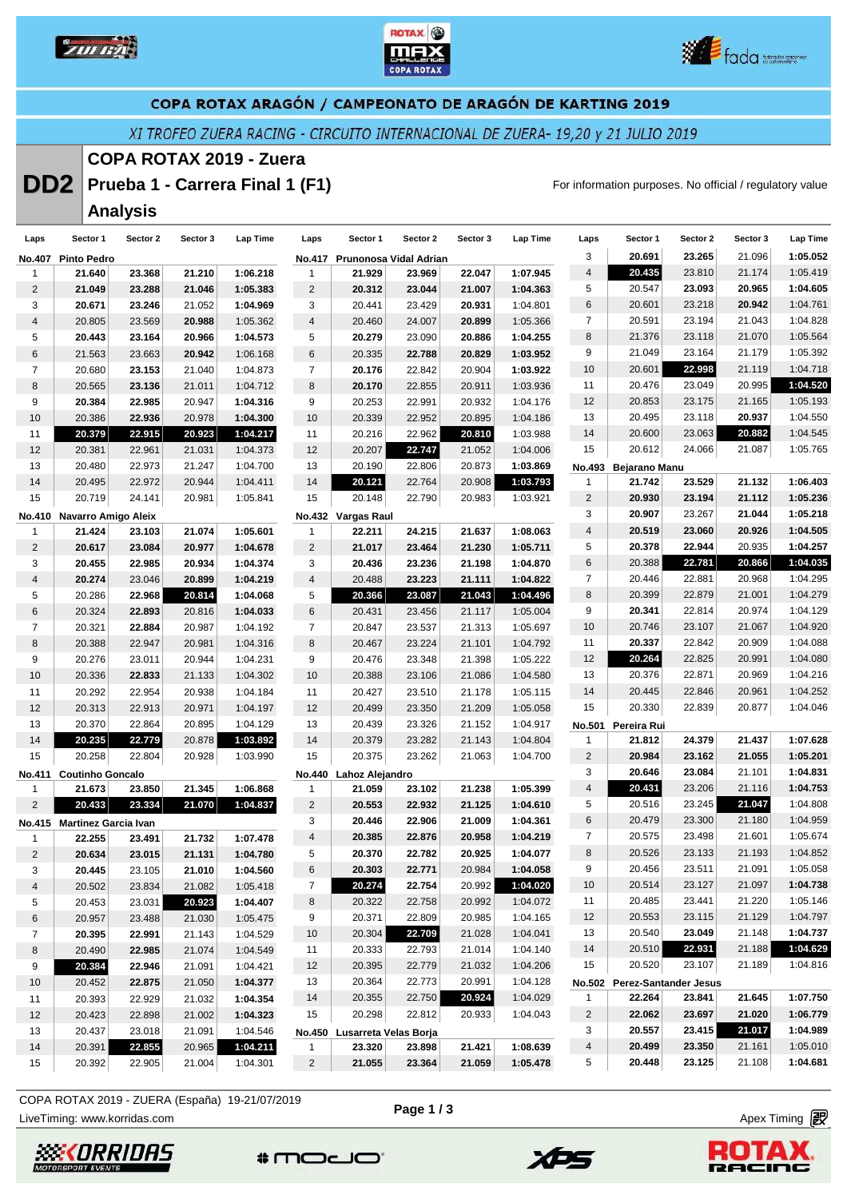





XI TROFEO ZUERA RACING - CIRCUITO INTERNACIONAL DE ZUERA- 19,20 y 21 JULIO 2019

# **COPA ROTAX 2019 - Zuera**

**DD2** Prueba 1 - Carrera Final 1 (F1) **For information purposes. No official / regulatory value** 

# **Analysis**

| Laps            | Sector 1                    | Sector 2 | Sector 3 | Lap Time | Laps           | Sector 1                     | Sector 2                      | Sector 3 | Lap Time | Laps           | Sector 1                     | Sector 2 | Sector 3 | <b>Lap Time</b> |
|-----------------|-----------------------------|----------|----------|----------|----------------|------------------------------|-------------------------------|----------|----------|----------------|------------------------------|----------|----------|-----------------|
|                 | No.407 Pinto Pedro          |          |          |          |                |                              | No.417 Prunonosa Vidal Adrian |          |          | 3              | 20.691                       | 23.265   | 21.096   | 1:05.052        |
| 1               | 21.640                      | 23.368   | 21.210   | 1:06.218 | $\mathbf{1}$   | 21.929                       | 23.969                        | 22.047   | 1:07.945 | $\sqrt{4}$     | 20.435                       | 23.810   | 21.174   | 1:05.419        |
| 2               | 21.049                      | 23.288   | 21.046   | 1:05.383 | $\overline{2}$ | 20.312                       | 23.044                        | 21.007   | 1:04.363 | 5              | 20.547                       | 23.093   | 20.965   | 1:04.605        |
| 3               | 20.671                      | 23.246   | 21.052   | 1:04.969 | 3              | 20.441                       | 23.429                        | 20.931   | 1:04.801 | 6              | 20.601                       | 23.218   | 20.942   | 1:04.761        |
| 4               | 20.805                      | 23.569   | 20.988   | 1:05.362 | 4              | 20.460                       | 24.007                        | 20.899   | 1:05.366 | $\overline{7}$ | 20.591                       | 23.194   | 21.043   | 1:04.828        |
| 5               | 20.443                      | 23.164   | 20.966   | 1:04.573 | 5              | 20.279                       | 23.090                        | 20.886   | 1:04.255 | 8              | 21.376                       | 23.118   | 21.070   | 1:05.564        |
| 6               | 21.563                      | 23.663   | 20.942   | 1:06.168 | $\,6$          | 20.335                       | 22.788                        | 20.829   | 1:03.952 | 9              | 21.049                       | 23.164   | 21.179   | 1:05.392        |
| 7               | 20.680                      | 23.153   | 21.040   | 1:04.873 | $\overline{7}$ | 20.176                       | 22.842                        | 20.904   | 1:03.922 | 10             | 20.601                       | 22.998   | 21.119   | 1:04.718        |
| 8               | 20.565                      | 23.136   | 21.011   | 1:04.712 | 8              | 20.170                       | 22.855                        | 20.911   | 1:03.936 | 11             | 20.476                       | 23.049   | 20.995   | 1:04.520        |
| 9               | 20.384                      | 22.985   | 20.947   | 1:04.316 | 9              | 20.253                       | 22.991                        | 20.932   | 1:04.176 | 12             | 20.853                       | 23.175   | 21.165   | 1:05.193        |
| 10              | 20.386                      | 22.936   | 20.978   | 1:04.300 | 10             | 20.339                       | 22.952                        | 20.895   | 1:04.186 | 13             | 20.495                       | 23.118   | 20.937   | 1:04.550        |
| 11              | 20.379                      | 22.915   | 20.923   | 1:04.217 | 11             | 20.216                       | 22.962                        | 20.810   | 1:03.988 | 14             | 20.600                       | 23.063   | 20.882   | 1:04.545        |
| 12              | 20.381                      | 22.961   | 21.031   | 1:04.373 | 12             | 20.207                       | 22.747                        | 21.052   | 1:04.006 | 15             | 20.612                       | 24.066   | 21.087   | 1:05.765        |
| 13              | 20.480                      | 22.973   | 21.247   | 1:04.700 | 13             | 20.190                       | 22.806                        | 20.873   | 1:03.869 |                | No.493 Bejarano Manu         |          |          |                 |
| 14              | 20.495                      | 22.972   | 20.944   | 1:04.411 | 14             | 20.121                       | 22.764                        | 20.908   | 1:03.793 | 1              | 21.742                       | 23.529   | 21.132   | 1:06.403        |
| 15              | 20.719                      | 24.141   | 20.981   | 1:05.841 | 15             | 20.148                       | 22.790                        | 20.983   | 1:03.921 | $\overline{c}$ | 20.930                       | 23.194   | 21.112   | 1:05.236        |
|                 | No.410 Navarro Amigo Aleix  |          |          |          |                | No.432 Vargas Raul           |                               |          |          | 3              | 20.907                       | 23.267   | 21.044   | 1:05.218        |
| 1               | 21.424                      | 23.103   | 21.074   | 1:05.601 | $\mathbf{1}$   | 22.211                       | 24.215                        | 21.637   | 1:08.063 | $\overline{4}$ | 20.519                       | 23.060   | 20.926   | 1:04.505        |
| $\overline{c}$  | 20.617                      | 23.084   | 20.977   | 1:04.678 | $\overline{2}$ | 21.017                       | 23.464                        | 21.230   | 1:05.711 | 5              | 20.378                       | 22.944   | 20.935   | 1:04.257        |
| 3               | 20.455                      | 22.985   | 20.934   | 1:04.374 | 3              | 20.436                       | 23.236                        | 21.198   | 1:04.870 | 6              | 20.388                       | 22.781   | 20.866   | 1:04.035        |
| 4               | 20.274                      | 23.046   | 20.899   | 1:04.219 | 4              | 20.488                       | 23.223                        | 21.111   | 1:04.822 | $\overline{7}$ | 20.446                       | 22.881   | 20.968   | 1:04.295        |
| 5               | 20.286                      | 22.968   | 20.814   | 1:04.068 | 5              | 20.366                       | 23.087                        | 21.043   | 1:04.496 | 8              | 20.399                       | 22.879   | 21.001   | 1:04.279        |
| 6               | 20.324                      | 22.893   | 20.816   | 1:04.033 | 6              | 20.431                       | 23.456                        | 21.117   | 1:05.004 | 9              | 20.341                       | 22.814   | 20.974   | 1:04.129        |
| 7               | 20.321                      | 22.884   | 20.987   | 1:04.192 | $\overline{7}$ | 20.847                       | 23.537                        | 21.313   | 1:05.697 | 10             | 20.746                       | 23.107   | 21.067   | 1:04.920        |
| 8               | 20.388                      | 22.947   | 20.981   | 1:04.316 | 8              | 20.467                       | 23.224                        | 21.101   | 1:04.792 | 11             | 20.337                       | 22.842   | 20.909   | 1:04.088        |
| 9               | 20.276                      | 23.011   | 20.944   | 1:04.231 | 9              | 20.476                       | 23.348                        | 21.398   | 1:05.222 | 12             | 20.264                       | 22.825   | 20.991   | 1:04.080        |
| 10              | 20.336                      | 22.833   | 21.133   | 1:04.302 | 10             | 20.388                       | 23.106                        | 21.086   | 1:04.580 | 13             | 20.376                       | 22.871   | 20.969   | 1:04.216        |
| 11              | 20.292                      | 22.954   | 20.938   | 1:04.184 | 11             | 20.427                       | 23.510                        | 21.178   | 1:05.115 | 14             | 20.445                       | 22.846   | 20.961   | 1:04.252        |
| 12              | 20.313                      | 22.913   | 20.971   | 1:04.197 | 12             | 20.499                       | 23.350                        | 21.209   | 1:05.058 | 15             | 20.330                       | 22.839   | 20.877   | 1:04.046        |
| 13              | 20.370                      | 22.864   | 20.895   | 1:04.129 | 13             | 20.439                       | 23.326                        | 21.152   | 1:04.917 | No.501         | Pereira Rui                  |          |          |                 |
| 14              | 20.235                      | 22.779   | 20.878   | 1:03.892 | 14             | 20.379                       | 23.282                        | 21.143   | 1:04.804 | 1              | 21.812                       | 24.379   | 21.437   | 1:07.628        |
| 15              | 20.258                      | 22.804   | 20.928   | 1:03.990 | 15             | 20.375                       | 23.262                        | 21.063   | 1:04.700 | $\overline{c}$ | 20.984                       | 23.162   | 21.055   | 1:05.201        |
| No.411          | <b>Coutinho Goncalo</b>     |          |          |          |                | No.440 Lahoz Alejandro       |                               |          |          | 3              | 20.646                       | 23.084   | 21.101   | 1:04.831        |
| 1               | 21.673                      | 23.850   | 21.345   | 1:06.868 | $\mathbf{1}$   | 21.059                       | 23.102                        | 21.238   | 1:05.399 | 4              | 20.431                       | 23.206   | 21.116   | 1:04.753        |
| $\overline{a}$  | 20.433                      | 23.334   | 21.070   | 1:04.837 | $\overline{c}$ | 20.553                       | 22.932                        | 21.125   | 1:04.610 | 5              | 20.516                       | 23.245   | 21.047   | 1:04.808        |
|                 | No.415 Martinez Garcia Ivan |          |          |          | 3              | 20.446                       | 22.906                        | 21.009   | 1:04.361 | $\,6$          | 20.479                       | 23.300   | 21.180   | 1:04.959        |
| 1               | 22.255                      | 23.491   | 21.732   | 1:07.478 | 4              | 20.385                       | 22.876                        | 20.958   | 1:04.219 | $\overline{7}$ | 20.575                       | 23.498   | 21.601   | 1:05.674        |
| $\overline{c}$  | 20.634                      | 23.015   | 21.131   | 1:04.780 | 5              | 20.370                       | 22.782                        | 20.925   | 1:04.077 | 8              | 20.526                       | 23.133   | 21.193   | 1:04.852        |
| 3               | 20.445                      | 23.105   | 21.010   | 1:04.560 | 6              | 20.303                       | 22.771                        | 20.984   | 1:04.058 | q              | 20.456                       | 23.511   | 21.091   | 1:05.058        |
| 4               | 20.502                      | 23.834   | 21.082   | 1:05.418 | $\overline{7}$ | 20.274                       | 22.754                        | 20.992   | 1:04.020 | 10             | 20.514                       | 23.127   | 21.097   | 1:04.738        |
| 5               | 20.453                      | 23.031   | 20.923   | 1:04.407 | 8              | 20.322                       | 22.758                        | 20.992   | 1:04.072 | 11             | 20.485                       | 23.441   | 21.220   | 1:05.146        |
| 6               | 20.957                      | 23.488   | 21.030   | 1:05.475 | 9              | 20.371                       | 22.809                        | 20.985   | 1:04.165 | 12             | 20.553                       | 23.115   | 21.129   | 1:04.797        |
| 7               | 20.395                      | 22.991   | 21.143   | 1:04.529 | 10             | 20.304                       | 22.709                        | 21.028   | 1:04.041 | 13             | 20.540                       | 23.049   | 21.148   | 1:04.737        |
| 8               | 20.490                      | 22.985   | 21.074   | 1:04.549 | 11             | 20.333                       | 22.793                        | 21.014   | 1:04.140 | 14             | 20.510                       | 22.931   | 21.188   | 1:04.629        |
| 9               | 20.384                      | 22.946   | 21.091   | 1:04.421 | 12             | 20.395                       | 22.779                        | 21.032   | 1:04.206 | 15             | 20.520                       | 23.107   | 21.189   | 1:04.816        |
| 10 <sup>1</sup> | 20.452                      | 22.875   | 21.050   | 1:04.377 | 13             | 20.364                       | 22.773                        | 20.991   | 1:04.128 |                | No.502 Perez-Santander Jesus |          |          |                 |
| 11              | 20.393                      | 22.929   | 21.032   | 1:04.354 | 14             | 20.355                       | 22.750                        | 20.924   | 1:04.029 | $\mathbf{1}$   | 22.264                       | 23.841   | 21.645   | 1:07.750        |
| 12              | 20.423                      | 22.898   | 21.002   | 1:04.323 | 15             | 20.298                       | 22.812                        | 20.933   | 1:04.043 | $\overline{2}$ | 22.062                       | 23.697   | 21.020   | 1:06.779        |
| 13              | 20.437                      | 23.018   | 21.091   | 1:04.546 |                | No.450 Lusarreta Velas Borja |                               |          |          | 3              | 20.557                       | 23.415   | 21.017   | 1:04.989        |
| 14              | 20.391                      | 22.855   | 20.965   | 1:04.211 | $\mathbf{1}$   | 23.320                       | 23.898                        | 21.421   | 1:08.639 | 4              | 20.499                       | 23.350   | 21.161   | 1:05.010        |
| 15              | 20.392                      | 22.905   | 21.004   | 1:04.301 | $\overline{2}$ | 21.055                       | 23.364                        | 21.059   | 1:05.478 | 5              | 20.448                       | 23.125   | 21.108   | 1:04.681        |

**Page 1 / 3**

LiveTiming: www.korridas.com **Apex Timing** and Apex Timing and Apex Timing and Apex Timing and Apex Timing and Apex Timing and Apex Timing and Apex Timing and Apex Timing and Apex Timing and Apex Timing and Apex Timing an COPA ROTAX 2019 - ZUERA (España) 19-21/07/2019









**BACIOG**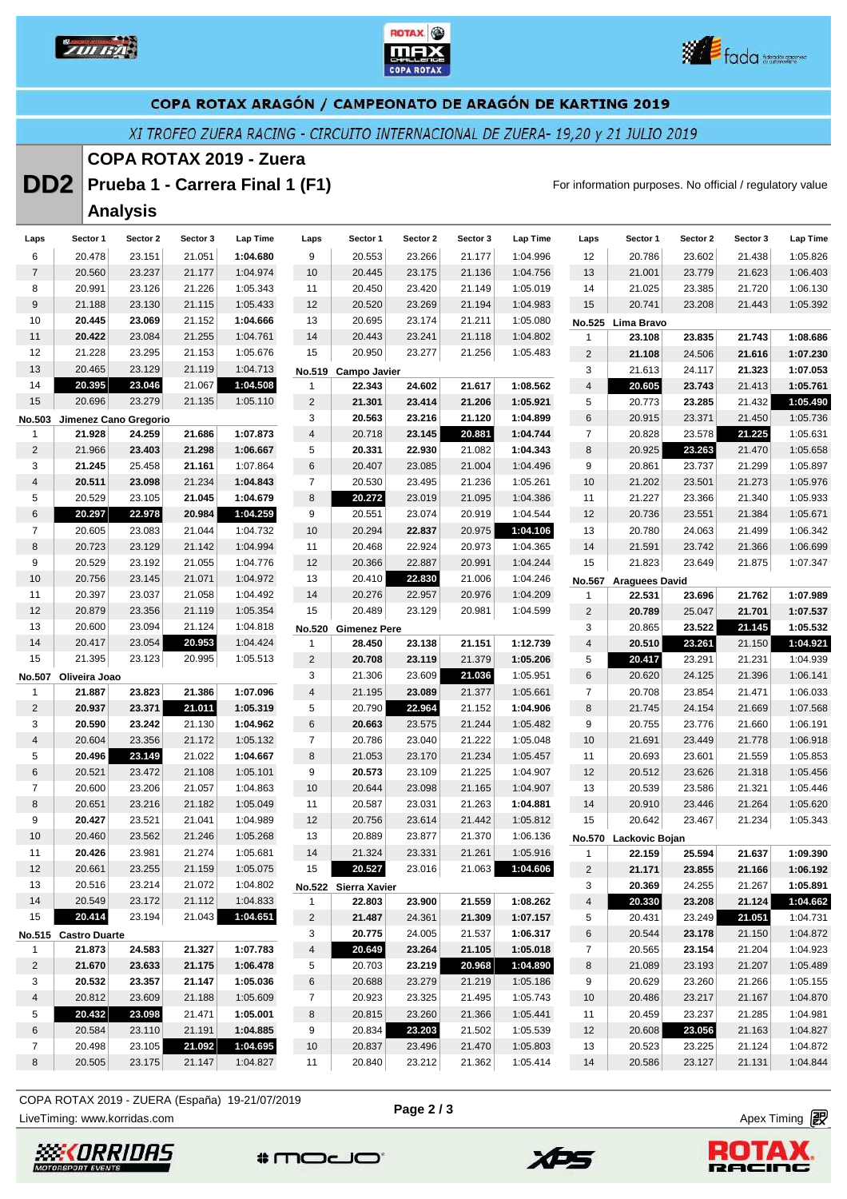





XI TROFEO ZUERA RACING - CIRCUITO INTERNACIONAL DE ZUERA- 19,20 y 21 JULIO 2019

## **COPA ROTAX 2019 - Zuera**

**DD2** Prueba 1 - Carrera Final 1 (F1) **For information purposes. No official / regulatory value** 

# **Analysis**

| Laps           | Sector 1             | Sector 2              | Sector 3 | Lap Time | Laps           | Sector 1             | Sector 2 | Sector 3 | Lap Time | Laps                    | Sector 1              | Sector 2 | Sector 3 | Lap Time |
|----------------|----------------------|-----------------------|----------|----------|----------------|----------------------|----------|----------|----------|-------------------------|-----------------------|----------|----------|----------|
| 6              | 20.478               | 23.151                | 21.051   | 1:04.680 | 9              | 20.553               | 23.266   | 21.177   | 1:04.996 | 12                      | 20.786                | 23.602   | 21.438   | 1:05.826 |
| $\overline{7}$ | 20.560               | 23.237                | 21.177   | 1:04.974 | 10             | 20.445               | 23.175   | 21.136   | 1:04.756 | 13                      | 21.001                | 23.779   | 21.623   | 1:06.403 |
| 8              | 20.991               | 23.126                | 21.226   | 1:05.343 | 11             | 20.450               | 23.420   | 21.149   | 1:05.019 | 14                      | 21.025                | 23.385   | 21.720   | 1:06.130 |
| 9              | 21.188               | 23.130                | 21.115   | 1:05.433 | 12             | 20.520               | 23.269   | 21.194   | 1:04.983 | 15                      | 20.741                | 23.208   | 21.443   | 1:05.392 |
| 10             | 20.445               | 23.069                | 21.152   | 1:04.666 | 13             | 20.695               | 23.174   | 21.211   | 1:05.080 |                         | No.525 Lima Bravo     |          |          |          |
| 11             | 20.422               | 23.084                | 21.255   | 1:04.761 | 14             | 20.443               | 23.241   | 21.118   | 1:04.802 | $\mathbf{1}$            | 23.108                | 23.835   | 21.743   | 1:08.686 |
| 12             | 21.228               | 23.295                | 21.153   | 1:05.676 | 15             | 20.950               | 23.277   | 21.256   | 1:05.483 | $\overline{c}$          | 21.108                | 24.506   | 21.616   | 1:07.230 |
| 13             | 20.465               | 23.129                | 21.119   | 1:04.713 |                | No.519 Campo Javier  |          |          |          | 3                       | 21.613                | 24.117   | 21.323   | 1:07.053 |
| 14             | 20.395               | 23.046                | 21.067   | 1:04.508 | 1              | 22.343               | 24.602   | 21.617   | 1:08.562 | $\overline{\mathbf{4}}$ | 20.605                | 23.743   | 21.413   | 1:05.761 |
| 15             | 20.696               | 23.279                | 21.135   | 1:05.110 | $\overline{2}$ | 21.301               | 23.414   | 21.206   | 1:05.921 | 5                       | 20.773                | 23.285   | 21.432   | 1:05.490 |
| No.503         |                      | Jimenez Cano Gregorio |          |          | 3              | 20.563               | 23.216   | 21.120   | 1:04.899 | 6                       | 20.915                | 23.371   | 21.450   | 1:05.736 |
| $\mathbf{1}$   | 21.928               | 24.259                | 21.686   | 1:07.873 | $\overline{4}$ | 20.718               | 23.145   | 20.881   | 1:04.744 | $\overline{7}$          | 20.828                | 23.578   | 21.225   | 1:05.631 |
| 2              | 21.966               | 23.403                | 21.298   | 1:06.667 | 5              | 20.331               | 22.930   | 21.082   | 1:04.343 | 8                       | 20.925                | 23.263   | 21.470   | 1:05.658 |
| 3              | 21.245               | 25.458                | 21.161   | 1:07.864 | 6              | 20.407               | 23.085   | 21.004   | 1:04.496 | 9                       | 20.861                | 23.737   | 21.299   | 1:05.897 |
| $\overline{4}$ | 20.511               | 23.098                | 21.234   | 1:04.843 | $\overline{7}$ | 20.530               | 23.495   | 21.236   | 1:05.261 | 10                      | 21.202                | 23.501   | 21.273   | 1:05.976 |
| 5              | 20.529               | 23.105                | 21.045   | 1:04.679 | 8              | 20.272               | 23.019   | 21.095   | 1:04.386 | 11                      | 21.227                | 23.366   | 21.340   | 1:05.933 |
| 6              | 20.297               | 22.978                | 20.984   | 1:04.259 | 9              | 20.551               | 23.074   | 20.919   | 1:04.544 | 12                      | 20.736                | 23.551   | 21.384   | 1:05.671 |
| $\overline{7}$ | 20.605               | 23.083                | 21.044   | 1:04.732 | 10             | 20.294               | 22.837   | 20.975   | 1:04.106 | 13                      | 20.780                | 24.063   | 21.499   | 1:06.342 |
| 8              | 20.723               | 23.129                | 21.142   | 1:04.994 | 11             | 20.468               | 22.924   | 20.973   | 1:04.365 | 14                      | 21.591                | 23.742   | 21.366   | 1:06.699 |
| 9              | 20.529               | 23.192                | 21.055   | 1:04.776 | 12             | 20.366               | 22.887   | 20.991   | 1:04.244 | 15                      | 21.823                | 23.649   | 21.875   | 1:07.347 |
| 10             | 20.756               | 23.145                | 21.071   | 1:04.972 | 13             | 20.410               | 22.830   | 21.006   | 1:04.246 |                         | No.567 Araguees David |          |          |          |
| 11             | 20.397               | 23.037                | 21.058   | 1:04.492 | 14             | 20.276               | 22.957   | 20.976   | 1:04.209 | $\mathbf{1}$            | 22.531                | 23.696   | 21.762   | 1:07.989 |
| 12             | 20.879               | 23.356                | 21.119   | 1:05.354 | 15             | 20.489               | 23.129   | 20.981   | 1:04.599 | $\overline{2}$          | 20.789                | 25.047   | 21.701   | 1:07.537 |
| 13             | 20.600               | 23.094                | 21.124   | 1:04.818 |                | No.520 Gimenez Pere  |          |          |          | 3                       | 20.865                | 23.522   | 21.145   | 1:05.532 |
| 14             | 20.417               | 23.054                | 20.953   | 1:04.424 | 1              | 28.450               | 23.138   | 21.151   | 1:12.739 | $\overline{4}$          | 20.510                | 23.261   | 21.150   | 1:04.921 |
| 15             | 21.395               | 23.123                | 20.995   | 1:05.513 | $\overline{2}$ | 20.708               | 23.119   | 21.379   | 1:05.206 | 5                       | 20.417                | 23.291   | 21.231   | 1:04.939 |
| No.507         | Oliveira Joao        |                       |          |          | 3              | 21.306               | 23.609   | 21.036   | 1:05.951 | 6                       | 20.620                | 24.125   | 21.396   | 1:06.141 |
| 1              | 21.887               | 23.823                | 21.386   | 1:07.096 | $\overline{4}$ | 21.195               | 23.089   | 21.377   | 1:05.661 | $\overline{7}$          | 20.708                | 23.854   | 21.471   | 1:06.033 |
| $\overline{c}$ | 20.937               | 23.371                | 21.011   | 1:05.319 | 5              | 20.790               | 22.964   | 21.152   | 1:04.906 | 8                       | 21.745                | 24.154   | 21.669   | 1:07.568 |
| 3              | 20.590               | 23.242                | 21.130   | 1:04.962 | 6              | 20.663               | 23.575   | 21.244   | 1:05.482 | 9                       | 20.755                | 23.776   | 21.660   | 1:06.191 |
| $\overline{4}$ | 20.604               | 23.356                | 21.172   | 1:05.132 | $\overline{7}$ | 20.786               | 23.040   | 21.222   | 1:05.048 | 10                      | 21.691                | 23.449   | 21.778   | 1:06.918 |
| 5              | 20.496               | 23.149                | 21.022   | 1:04.667 | 8              | 21.053               | 23.170   | 21.234   | 1:05.457 | 11                      | 20.693                | 23.601   | 21.559   | 1:05.853 |
| 6              | 20.521               | 23.472                | 21.108   | 1:05.101 | 9              | 20.573               | 23.109   | 21.225   | 1:04.907 | 12                      | 20.512                | 23.626   | 21.318   | 1:05.456 |
| $\overline{7}$ | 20.600               | 23.206                | 21.057   | 1:04.863 | 10             | 20.644               | 23.098   | 21.165   | 1:04.907 | 13                      | 20.539                | 23.586   | 21.321   | 1:05.446 |
| 8              | 20.651               | 23.216                | 21.182   | 1:05.049 | 11             | 20.587               | 23.031   | 21.263   | 1:04.881 | 14                      | 20.910                | 23.446   | 21.264   | 1:05.620 |
| 9              | 20.427               | 23.521                | 21.041   | 1:04.989 | 12             | 20.756               | 23.614   | 21.442   | 1:05.812 | 15                      | 20.642                | 23.467   | 21.234   | 1:05.343 |
| 10             | 20.460               | 23.562                | 21.246   | 1:05.268 | 13             | 20.889               | 23.877   | 21.370   | 1:06.136 | No.570                  | Lackovic Bojan        |          |          |          |
| 11             | 20.426               | 23.981                | 21.274   | 1:05.681 | 14             | 21.324               | 23.331   | 21.261   | 1:05.916 | $\mathbf{1}$            | 22.159                | 25.594   | 21.637   | 1:09.390 |
| 12             | 20.661               | 23.255                | 21.159   | 1:05.075 | 15             | 20.527               | 23.016   | 21.063   | 1:04.606 | 2                       | 21.171                | 23.855   | 21.166   | 1:06.192 |
| 13             | 20.516               | 23.214                | 21.072   | 1:04.802 |                | No.522 Sierra Xavier |          |          |          | 3                       | 20.369                | 24.255   | 21.267   | 1:05.891 |
| 14             | 20.549               | 23.172                | 21.112   | 1:04.833 | $\mathbf{1}$   | 22.803               | 23.900   | 21.559   | 1:08.262 | $\overline{\mathbf{4}}$ | 20.330                | 23.208   | 21.124   | 1:04.662 |
| 15             | 20.414               | 23.194                | 21.043   | 1:04.651 | $\overline{2}$ | 21.487               | 24.361   | 21.309   | 1:07.157 | 5                       | 20.431                | 23.249   | 21.051   | 1:04.731 |
|                | No.515 Castro Duarte |                       |          |          | 3              | 20.775               | 24.005   | 21.537   | 1:06.317 | 6                       | 20.544                | 23.178   | 21.150   | 1:04.872 |
| 1              | 21.873               | 24.583                | 21.327   | 1:07.783 | $\overline{4}$ | 20.649               | 23.264   | 21.105   | 1:05.018 | $\overline{7}$          | 20.565                | 23.154   | 21.204   | 1:04.923 |
| $\overline{2}$ | 21.670               | 23.633                | 21.175   | 1:06.478 | 5              | 20.703               | 23.219   | 20.968   | 1:04.890 | 8                       | 21.089                | 23.193   | 21.207   | 1:05.489 |
| 3              | 20.532               | 23.357                | 21.147   | 1:05.036 | 6              | 20.688               | 23.279   | 21.219   | 1:05.186 | 9                       | 20.629                | 23.260   | 21.266   | 1:05.155 |
| 4              | 20.812               | 23.609                | 21.188   | 1:05.609 | $\overline{7}$ | 20.923               | 23.325   | 21.495   | 1:05.743 | 10                      | 20.486                | 23.217   | 21.167   | 1:04.870 |
| 5              | 20.432               | 23.098                | 21.471   | 1:05.001 | 8              | 20.815               | 23.260   | 21.366   | 1:05.441 | 11                      | 20.459                | 23.237   | 21.285   | 1:04.981 |
| 6              | 20.584               | 23.110                | 21.191   | 1:04.885 | 9              | 20.834               | 23.203   | 21.502   | 1:05.539 | 12                      | 20.608                | 23.056   | 21.163   | 1:04.827 |
| $\overline{7}$ | 20.498               | 23.105                | 21.092   | 1:04.695 | 10             | 20.837               | 23.496   | 21.470   | 1:05.803 | 13                      | 20.523                | 23.225   | 21.124   | 1:04.872 |
| 8              | 20.505               | 23.175                | 21.147   | 1:04.827 | 11             | 20.840               | 23.212   | 21.362   | 1:05.414 | 14                      | 20.586                | 23.127   | 21.131   | 1:04.844 |

LiveTiming: www.korridas.com **Apex Timing** and Apex Timing and Apex Timing and Apex Timing and Apex Timing and Apex Timing and Apex Timing and Apex Timing and Apex Timing and Apex Timing and Apex Timing and Apex Timing an COPA ROTAX 2019 - ZUERA (España) 19-21/07/2019

**Page 2 / 3**



**BACIOG** 





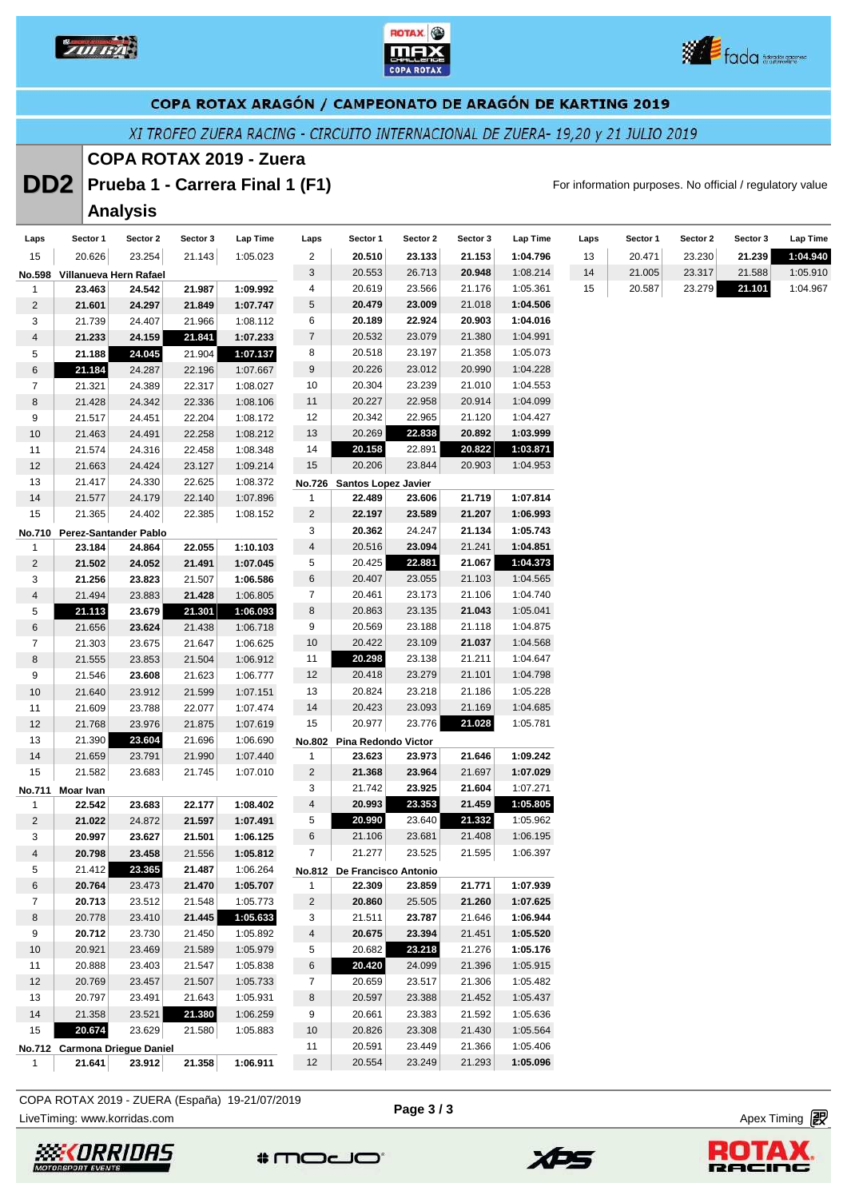





XI TROFEO ZUERA RACING - CIRCUITO INTERNACIONAL DE ZUERA- 19,20 y 21 JULIO 2019

#### **COPA ROTAX 2019 - Zuera**

**DD2** Prueba 1 - Carrera Final 1 (F1) **For information purposes. No official / regulatory value** 

**Laps Sector 1 Sector 2 Sector 3 Lap Time** 20.471 23.230 **21.239 1:04.940** 21.005 23.317 21.588 1:05.910 20.587 23.279 **21.101** 1:04.967

#### **Analysis Laps Sector 1 Sector 2 Sector 3 Lap Time** 20.626 23.254 21.143 1:05.023 **No.598 Villanueva Hern Rafael 23.463 24.542 21.987 1:09.992 21.601 24.297 21.849 1:07.747** 21.739 24.407 21.966 1:08.112 **21.233 24.159 21.841 1:07.233 21.188 24.045** 21.904 **1:07.137 21.184** 24.287 22.196 1:07.667 21.321 24.389 22.317 1:08.027 21.428 24.342 22.336 1:08.106 21.517 24.451 22.204 1:08.172 21.463 24.491 22.258 1:08.212 21.574 24.316 22.458 1:08.348 21.663 24.424 23.127 1:09.214 21.417 24.330 22.625 1:08.372 **Laps Sector 1 Sector 2 Sector 3 Lap Time 20.510 23.133 21.153 1:04.796** 20.553 26.713 **20.948** 1:08.214 20.619 23.566 21.176 1:05.361 **20.479 23.009** 21.018 **1:04.506 20.189 22.924 20.903 1:04.016** 20.532 23.079 21.380 1:04.991 20.518 23.197 21.358 1:05.073 20.226 23.012 20.990 1:04.228 20.304 23.239 21.010 1:04.553 20.227 22.958 20.914 1:04.099 20.342 22.965 21.120 1:04.427 20.269 **22.838 20.892 1:03.999 20.158** 22.891 **20.822 1:03.871** 20.206 23.844 20.903 1:04.953 **No.726 Santos Lopez Javier**

|                |                               |        |        |          | 190. LZU       | <b>Janual Lupez Javier</b> |                      |        |          |
|----------------|-------------------------------|--------|--------|----------|----------------|----------------------------|----------------------|--------|----------|
| 14             | 21.577                        | 24.179 | 22.140 | 1:07.896 | $\mathbf{1}$   | 22.489                     | 23.606               | 21.719 | 1:07.814 |
| 15             | 21.365                        | 24.402 | 22.385 | 1:08.152 | $\overline{c}$ | 22.197                     | 23.589               | 21.207 | 1:06.993 |
| <b>No.710</b>  | <b>Perez-Santander Pablo</b>  |        |        |          | 3              | 20.362                     | 24.247               | 21.134 | 1:05.743 |
| $\mathbf{1}$   | 23.184                        | 24.864 | 22.055 | 1:10.103 | $\overline{4}$ | 20.516                     | 23.094               | 21.241 | 1:04.851 |
| $\overline{2}$ | 21.502                        | 24.052 | 21.491 | 1:07.045 | 5              | 20.425                     | 22.881               | 21.067 | 1:04.373 |
| 3              | 21.256                        | 23.823 | 21.507 | 1:06.586 | $\,6$          | 20.407                     | 23.055               | 21.103 | 1:04.565 |
| $\overline{4}$ | 21.494                        | 23.883 | 21.428 | 1:06.805 | $\overline{7}$ | 20.461                     | 23.173               | 21.106 | 1:04.740 |
| 5              | 21.113                        | 23.679 | 21.301 | 1:06.093 | 8              | 20.863                     | 23.135               | 21.043 | 1:05.041 |
| 6              | 21.656                        | 23.624 | 21.438 | 1:06.718 | 9              | 20.569                     | 23.188               | 21.118 | 1:04.875 |
| 7              | 21.303                        | 23.675 | 21.647 | 1:06.625 | 10             | 20.422                     | 23.109               | 21.037 | 1:04.568 |
| 8              | 21.555                        | 23.853 | 21.504 | 1:06.912 | 11             | 20.298                     | 23.138               | 21.211 | 1:04.647 |
| 9              | 21.546                        | 23.608 | 21.623 | 1:06.777 | 12             | 20.418                     | 23.279               | 21.101 | 1:04.798 |
| 10             | 21.640                        | 23.912 | 21.599 | 1:07.151 | 13             | 20.824                     | 23.218               | 21.186 | 1:05.228 |
| 11             | 21.609                        | 23.788 | 22.077 | 1:07.474 | 14             | 20.423                     | 23.093               | 21.169 | 1:04.685 |
| 12             | 21.768                        | 23.976 | 21.875 | 1:07.619 | 15             | 20.977                     | 23.776               | 21.028 | 1:05.781 |
| 13             | 21.390                        | 23.604 | 21.696 | 1:06.690 |                | No.802 Pina Redondo Victor |                      |        |          |
| 14             | 21.659                        | 23.791 | 21.990 | 1:07.440 | 1              | 23.623                     | 23.973               | 21.646 | 1:09.242 |
| 15             | 21.582                        | 23.683 | 21.745 | 1:07.010 | $\overline{2}$ | 21.368                     | 23.964               | 21.697 | 1:07.029 |
| No.711         | <b>Moar Ivan</b>              |        |        |          | 3              | 21.742                     | 23.925               | 21.604 | 1:07.271 |
| 1              | 22.542                        | 23.683 | 22.177 | 1:08.402 | $\sqrt{4}$     | 20.993                     | 23.353               | 21.459 | 1:05.805 |
| $\overline{2}$ | 21.022                        | 24.872 | 21.597 | 1:07.491 | 5              | 20.990                     | 23.640               | 21.332 | 1:05.962 |
| 3              | 20.997                        | 23.627 | 21.501 | 1:06.125 | 6              | 21.106                     | 23.681               | 21.408 | 1:06.195 |
| $\overline{4}$ | 20.798                        | 23.458 | 21.556 | 1:05.812 | $\overline{7}$ | 21.277                     | 23.525               | 21.595 | 1:06.397 |
| 5              | 21.412                        | 23.365 | 21.487 | 1:06.264 | No.812         |                            | De Francisco Antonio |        |          |
| 6              | 20.764                        | 23.473 | 21.470 | 1:05.707 | 1              | 22.309                     | 23.859               | 21.771 | 1:07.939 |
| $\overline{7}$ | 20.713                        | 23.512 | 21.548 | 1:05.773 | 2              | 20.860                     | 25.505               | 21.260 | 1:07.625 |
| 8              | 20.778                        | 23.410 | 21.445 | 1:05.633 | 3              | 21.511                     | 23.787               | 21.646 | 1:06.944 |
| 9              | 20.712                        | 23.730 | 21.450 | 1:05.892 | $\overline{4}$ | 20.675                     | 23.394               | 21.451 | 1:05.520 |
| 10             | 20.921                        | 23.469 | 21.589 | 1:05.979 | 5              | 20.682                     | 23.218               | 21.276 | 1:05.176 |
| 11             | 20.888                        | 23.403 | 21.547 | 1:05.838 | 6              | 20.420                     | 24.099               | 21.396 | 1:05.915 |
| 12             | 20.769                        | 23.457 | 21.507 | 1:05.733 | 7              | 20.659                     | 23.517               | 21.306 | 1:05.482 |
| 13             | 20.797                        | 23.491 | 21.643 | 1:05.931 | 8              | 20.597                     | 23.388               | 21.452 | 1:05.437 |
| 14             | 21.358                        | 23.521 | 21.380 | 1:06.259 | 9              | 20.661                     | 23.383               | 21.592 | 1:05.636 |
| 15             | 20.674                        | 23.629 | 21.580 | 1:05.883 | 10             | 20.826                     | 23.308               | 21.430 | 1:05.564 |
|                | No.712 Carmona Driegue Daniel |        |        |          | 11             | 20.591                     | 23.449               | 21.366 | 1:05.406 |
| 1              | 21.641                        | 23.912 | 21.358 | 1:06.911 | 12             | 20.554                     | 23.249               | 21.293 | 1:05.096 |
|                |                               |        |        |          |                |                            |                      |        |          |

COPA ROTAX 2019 - ZUERA (España) 19-21/07/2019

LiveTiming: www.korridas.com Apex Timing





**Page 3 / 3**